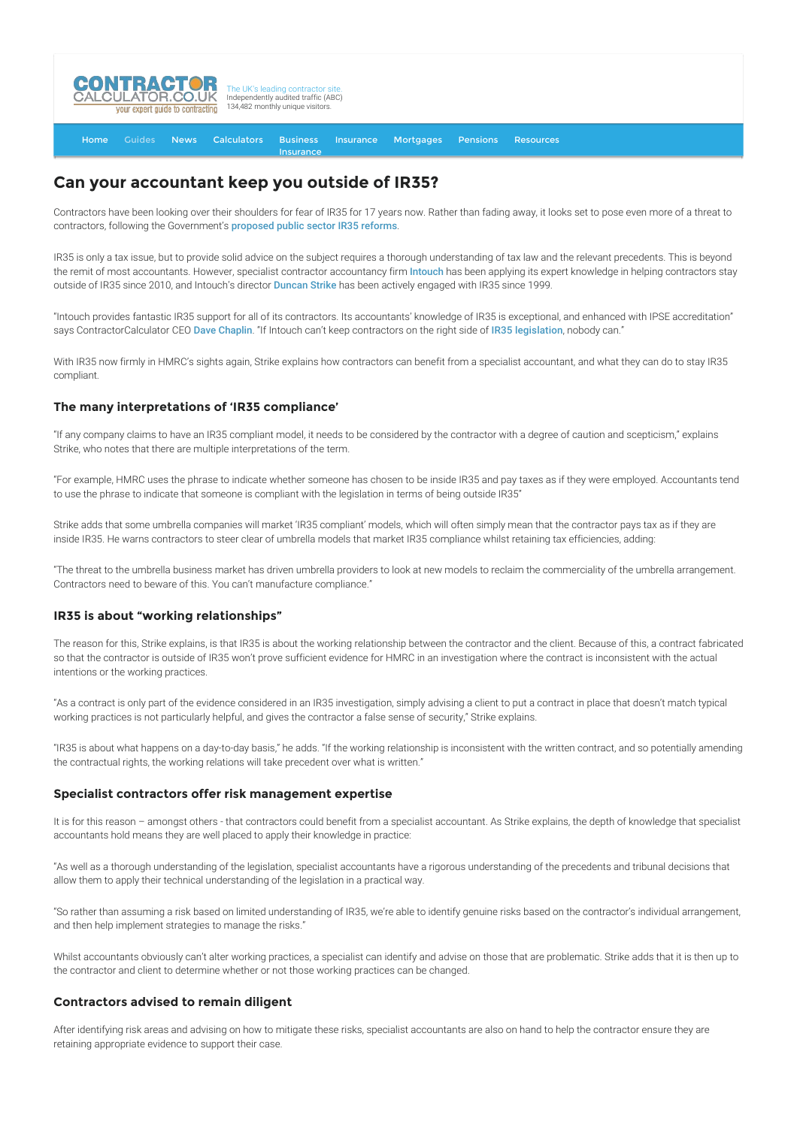

#### [Home](http://www.contractorcalculator.co.uk/) [Guides](http://www.contractorcalculator.co.uk/Articles.aspx) [News](http://www.contractorcalculator.co.uk/Contractor_News.aspx) [Calculators](http://www.contractorcalculator.co.uk/Calculators.aspx) Business **[Insurance](http://www.contractorcalculator.co.uk/Contractor_Insurances.aspx)** [Insurance](http://www.contractorcalculator.co.uk/Insurance.aspx) [Mortgages](http://www.contractorcalculator.co.uk/Contractor_Mortgages.aspx) [Pensions](http://www.contractorcalculator.co.uk/Contractor_Pensions.aspx) [Resources](http://www.contractorcalculator.co.uk/Contractor_Resources.aspx)

# **Can your accountant keep you outside of IR35?**

Contractors have been looking over their shoulders for fear of IR35 for 17 years now. Rather than fading away, it looks set to pose even more of a threat to contractors, following the Government's [proposed public sector IR35 reforms](http://www.contractorcalculator.co.uk/fight_against_public_sector_ir35_reforms_520810_news.aspx).

IR35 is only a tax issue, but to provide solid advice on the subject requires a thorough understanding of tax law and the relevant precedents. This is beyond the remit of most accountants. However, specialist contractor accountancy firm [Intouch](http://www.contractorcalculator.co.uk/refer.aspx?site=www.contractorcalculator.co.uk&from=ARTICLE&frompk=YOUR_ACCOUNTANT_KEEP_OUTSIDE_IR35&url=http://www.intouchaccounting.com/) has been applying its expert knowledge in helping contractors stay outside of IR35 since 2010, and Intouch's director [Duncan Strike](http://www.contractorcalculator.co.uk/ec_duncan_strike.aspx) has been actively engaged with IR35 since 1999.

"Intouch provides fantastic IR35 support for all of its contractors. Its accountants' knowledge of IR35 is exceptional, and enhanced with IPSE accreditation" says ContractorCalculator CEO [Dave Chaplin](http://www.contractorcalculator.co.uk/ec_dave_chaplin.aspx). "If Intouch can't keep contractors on the right side of [IR35 legislation](http://www.contractorcalculator.co.uk/ir35.aspx), nobody can."

With IR35 now firmly in HMRC's sights again. Strike explains how contractors can benefit from a specialist accountant, and what they can do to stay IR35 compliant.

### **The many interpretations of 'IR35 compliance'**

"If any company claims to have an IR35 compliant model, it needs to be considered by the contractor with a degree of caution and scepticism," explains Strike, who notes that there are multiple interpretations of the term.

"For example, HMRC uses the phrase to indicate whether someone has chosen to be inside IR35 and pay taxes as if they were employed. Accountants tend to use the phrase to indicate that someone is compliant with the legislation in terms of being outside IR35"

Strike adds that some umbrella companies will market 'IR35 compliant' models, which will often simply mean that the contractor pays tax as if they are inside IR35. He warns contractors to steer clear of umbrella models that market IR35 compliance whilst retaining tax efficiencies, adding:

"The threat to the umbrella business market has driven umbrella providers to look at new models to reclaim the commerciality of the umbrella arrangement. Contractors need to beware of this. You can't manufacture compliance."

### **IR35 is about "working relationships"**

The reason for this, Strike explains, is that IR35 is about the working relationship between the contractor and the client. Because of this, a contract fabricated so that the contractor is outside of IR35 won't prove sufficient evidence for HMRC in an investigation where the contract is inconsistent with the actual intentions or the working practices.

"As a contract is only part of the evidence considered in an IR35 investigation, simply advising a client to put a contract in place that doesn't match typical working practices is not particularly helpful, and gives the contractor a false sense of security," Strike explains.

"IR35 is about what happens on a day-to-day basis," he adds. "If the working relationship is inconsistent with the written contract, and so potentially amending the contractual rights, the working relations will take precedent over what is written."

#### **Specialist contractors offer risk management expertise**

It is for this reason – amongst others - that contractors could benefit from a specialist accountant. As Strike explains, the depth of knowledge that specialist accountants hold means they are well placed to apply their knowledge in practice:

"As well as a thorough understanding of the legislation, specialist accountants have a rigorous understanding of the precedents and tribunal decisions that allow them to apply their technical understanding of the legislation in a practical way.

"So rather than assuming a risk based on limited understanding of IR35, we're able to identify genuine risks based on the contractor's individual arrangement, and then help implement strategies to manage the risks."

Whilst accountants obviously can't alter working practices, a specialist can identify and advise on those that are problematic. Strike adds that it is then up to the contractor and client to determine whether or not those working practices can be changed.

### **Contractors advised to remain diligent**

After identifying risk areas and advising on how to mitigate these risks, specialist accountants are also on hand to help the contractor ensure they are retaining appropriate evidence to support their case.